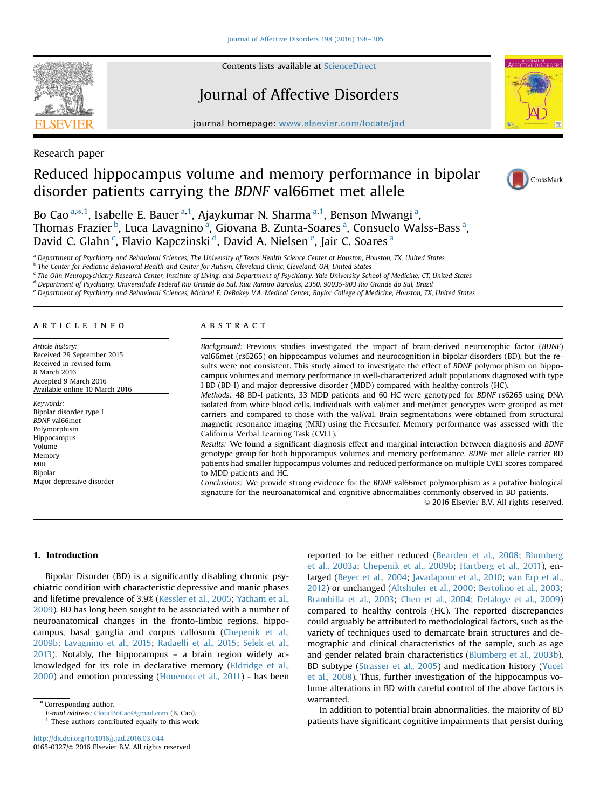

Contents lists available at ScienceDirect

# Journal of Affective Disorders

journal homepage: www.elsevier.com/locate/jad



Research paper

# Reduced hippocampus volume and memory performance in bipolar disorder patients carrying the BDNF val66met met allele



Bo Cao <sup>a,\*,1</sup>, Isabelle E. Bauer <sup>a,1</sup>, Ajaykumar N. Sharma <sup>a,1</sup>, Benson Mwangi <sup>a</sup>, Thomas Frazier <sup>b</sup>, Luca Lavagnino <sup>a</sup>, Giovana B. Zunta-Soares <sup>a</sup>, Consuelo Walss-Bass <sup>a</sup>, David C. Glahn<sup>c</sup>, Flavio Kapczinski<sup>d</sup>, David A. Nielsen<sup>e</sup>, Jair C. Soares<sup>a</sup>

a Department of Psychiatry and Behavioral Sciences, The University of Texas Health Science Center at Houston, Houston, TX, United States

**b** The Center for Pediatric Behavioral Health and Center for Autism, Cleveland Clinic, Cleveland, OH, United States

<sup>c</sup> The Olin Neuropsychiatry Research Center, Institute of Living, and Department of Psychiatry, Yale University School of Medicine, CT, United States

<sup>d</sup> Department of Psychiatry, Universidade Federal Rio Grande do Sul, Rua Ramiro Barcelos, 2350, 90035-903 Rio Grande do Sul, Brazil

<sup>e</sup> Department of Psychiatry and Behavioral Sciences, Michael E. DeBakey V.A. Medical Center, Baylor College of Medicine, Houston, TX, United States

#### article info

Article history: Received 29 September 2015 Received in revised form 8 March 2016 Accepted 9 March 2016 Available online 10 March 2016

Keywords: Bipolar disorder type I BDNF val66met Polymorphism Hippocampus Volume Memory MRI Bipolar Major depressive disorder

## ABSTRACT

Background: Previous studies investigated the impact of brain-derived neurotrophic factor (BDNF) val66met (rs6265) on hippocampus volumes and neurocognition in bipolar disorders (BD), but the results were not consistent. This study aimed to investigate the effect of BDNF polymorphism on hippocampus volumes and memory performance in well-characterized adult populations diagnosed with type I BD (BD-I) and major depressive disorder (MDD) compared with healthy controls (HC).

Methods: 48 BD-I patients, 33 MDD patients and 60 HC were genotyped for BDNF rs6265 using DNA isolated from white blood cells. Individuals with val/met and met/met genotypes were grouped as met carriers and compared to those with the val/val. Brain segmentations were obtained from structural magnetic resonance imaging (MRI) using the Freesurfer. Memory performance was assessed with the California Verbal Learning Task (CVLT).

Results: We found a significant diagnosis effect and marginal interaction between diagnosis and BDNF genotype group for both hippocampus volumes and memory performance. BDNF met allele carrier BD patients had smaller hippocampus volumes and reduced performance on multiple CVLT scores compared to MDD patients and HC.

Conclusions: We provide strong evidence for the BDNF val66met polymorphism as a putative biological signature for the neuroanatomical and cognitive abnormalities commonly observed in BD patients.

 $©$  2016 Elsevier B.V. All rights reserved.

# 1. Introduction

Bipolar Disorder (BD) is a significantly disabling chronic psychiatric condition with characteristic depressive and manic phases and lifetime prevalence of 3.9% (Kessler et al., 2005; Yatham et al., 2009). BD has long been sought to be associated with a number of neuroanatomical changes in the fronto-limbic regions, hippocampus, basal ganglia and corpus callosum (Chepenik et al., 2009b; Lavagnino et al., 2015; Radaelli et al., 2015; Selek et al., 2013). Notably, the hippocampus – a brain region widely acknowledged for its role in declarative memory (Eldridge et al., 2000) and emotion processing (Houenou et al., 2011) - has been

\* Corresponding author.

E-mail address: CloudBoCao@gmail.com (B. Cao).  $1$  These authors contributed equally to this work.

http://dx.doi.org/10.1016/j.jad.2016.03.044 0165-0327/© 2016 Elsevier B.V. All rights reserved. reported to be either reduced (Bearden et al., 2008; Blumberg et al., 2003a; Chepenik et al., 2009b; Hartberg et al., 2011), enlarged (Beyer et al., 2004; Javadapour et al., 2010; van Erp et al., 2012) or unchanged (Altshuler et al., 2000; Bertolino et al., 2003; Brambilla et al., 2003; Chen et al., 2004; Delaloye et al., 2009) compared to healthy controls (HC). The reported discrepancies could arguably be attributed to methodological factors, such as the variety of techniques used to demarcate brain structures and demographic and clinical characteristics of the sample, such as age and gender related brain characteristics (Blumberg et al., 2003b), BD subtype (Strasser et al., 2005) and medication history (Yucel et al., 2008). Thus, further investigation of the hippocampus volume alterations in BD with careful control of the above factors is warranted.

In addition to potential brain abnormalities, the majority of BD patients have significant cognitive impairments that persist during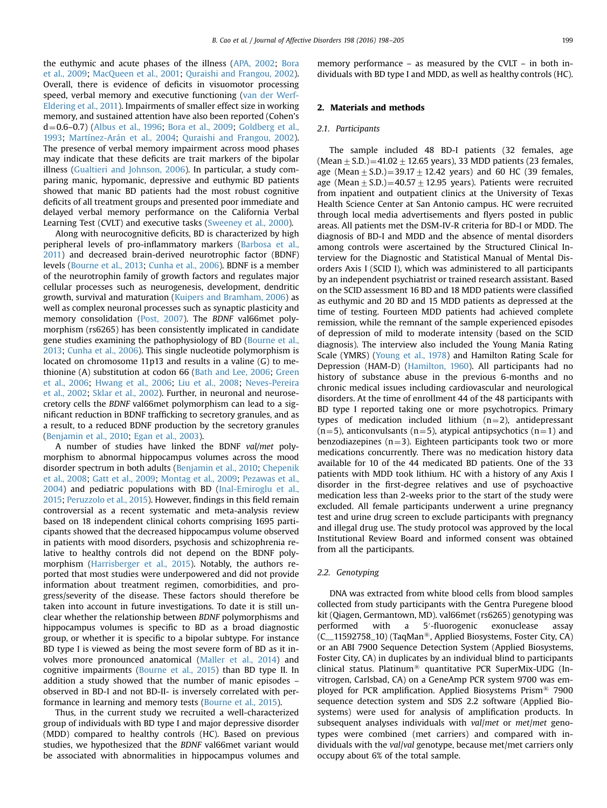the euthymic and acute phases of the illness (APA, 2002; Bora et al., 2009; MacQueen et al., 2001; Quraishi and Frangou, 2002). Overall, there is evidence of deficits in visuomotor processing speed, verbal memory and executive functioning (van der Werf-Eldering et al., 2011). Impairments of smaller effect size in working memory, and sustained attention have also been reported (Cohen's  $d=0.6-0.7$ ) (Albus et al., 1996; Bora et al., 2009; Goldberg et al., 1993; Martínez-Arán et al., 2004; Quraishi and Frangou, 2002). The presence of verbal memory impairment across mood phases may indicate that these deficits are trait markers of the bipolar illness (Gualtieri and Johnson, 2006). In particular, a study comparing manic, hypomanic, depressive and euthymic BD patients showed that manic BD patients had the most robust cognitive deficits of all treatment groups and presented poor immediate and delayed verbal memory performance on the California Verbal Learning Test (CVLT) and executive tasks (Sweeney et al., 2000).

Along with neurocognitive deficits, BD is characterized by high peripheral levels of pro-inflammatory markers (Barbosa et al., 2011) and decreased brain-derived neurotrophic factor (BDNF) levels (Bourne et al., 2013; Cunha et al., 2006). BDNF is a member of the neurotrophin family of growth factors and regulates major cellular processes such as neurogenesis, development, dendritic growth, survival and maturation (Kuipers and Bramham, 2006) as well as complex neuronal processes such as synaptic plasticity and memory consolidation (Post, 2007). The BDNF val66met polymorphism (rs6265) has been consistently implicated in candidate gene studies examining the pathophysiology of BD (Bourne et al., 2013; Cunha et al., 2006). This single nucleotide polymorphism is located on chromosome 11p13 and results in a valine (G) to methionine (A) substitution at codon 66 (Bath and Lee, 2006; Green et al., 2006; Hwang et al., 2006; Liu et al., 2008; Neves-Pereira et al., 2002; Sklar et al., 2002). Further, in neuronal and neurosecretory cells the BDNF val66met polymorphism can lead to a significant reduction in BDNF trafficking to secretory granules, and as a result, to a reduced BDNF production by the secretory granules (Benjamin et al., 2010; Egan et al., 2003).

A number of studies have linked the BDNF val/met polymorphism to abnormal hippocampus volumes across the mood disorder spectrum in both adults (Benjamin et al., 2010; Chepenik et al., 2008; Gatt et al., 2009; Montag et al., 2009; Pezawas et al., 2004) and pediatric populations with BD (Inal-Emiroglu et al., 2015; Peruzzolo et al., 2015). However, findings in this field remain controversial as a recent systematic and meta-analysis review based on 18 independent clinical cohorts comprising 1695 participants showed that the decreased hippocampus volume observed in patients with mood disorders, psychosis and schizophrenia relative to healthy controls did not depend on the BDNF polymorphism (Harrisberger et al., 2015). Notably, the authors reported that most studies were underpowered and did not provide information about treatment regimen, comorbidities, and progress/severity of the disease. These factors should therefore be taken into account in future investigations. To date it is still unclear whether the relationship between BDNF polymorphisms and hippocampus volumes is specific to BD as a broad diagnostic group, or whether it is specific to a bipolar subtype. For instance BD type I is viewed as being the most severe form of BD as it involves more pronounced anatomical (Maller et al., 2014) and cognitive impairments (Bourne et al., 2015) than BD type II. In addition a study showed that the number of manic episodes – observed in BD-I and not BD-II- is inversely correlated with performance in learning and memory tests (Bourne et al., 2015).

Thus, in the current study we recruited a well-characterized group of individuals with BD type I and major depressive disorder (MDD) compared to healthy controls (HC). Based on previous studies, we hypothesized that the BDNF val66met variant would be associated with abnormalities in hippocampus volumes and memory performance – as measured by the CVLT – in both individuals with BD type I and MDD, as well as healthy controls (HC).

## 2. Materials and methods

#### 2.1. Participants

The sample included 48 BD-I patients (32 females, age (Mean  $\pm$  S.D.) = 41.02  $\pm$  12.65 years), 33 MDD patients (23 females, age (Mean  $\pm$  S.D.) = 39.17  $\pm$  12.42 years) and 60 HC (39 females, age (Mean  $\pm$  S.D.)=40.57  $\pm$  12.95 years). Patients were recruited from inpatient and outpatient clinics at the University of Texas Health Science Center at San Antonio campus. HC were recruited through local media advertisements and flyers posted in public areas. All patients met the DSM-IV-R criteria for BD-I or MDD. The diagnosis of BD-I and MDD and the absence of mental disorders among controls were ascertained by the Structured Clinical Interview for the Diagnostic and Statistical Manual of Mental Disorders Axis I (SCID I), which was administered to all participants by an independent psychiatrist or trained research assistant. Based on the SCID assessment 16 BD and 18 MDD patients were classified as euthymic and 20 BD and 15 MDD patients as depressed at the time of testing. Fourteen MDD patients had achieved complete remission, while the remnant of the sample experienced episodes of depression of mild to moderate intensity (based on the SCID diagnosis). The interview also included the Young Mania Rating Scale (YMRS) (Young et al., 1978) and Hamilton Rating Scale for Depression (HAM-D) (Hamilton, 1960). All participants had no history of substance abuse in the previous 6-months and no chronic medical issues including cardiovascular and neurological disorders. At the time of enrollment 44 of the 48 participants with BD type I reported taking one or more psychotropics. Primary types of medication included lithium  $(n=2)$ , antidepressant  $(n=5)$ , anticonvulsants  $(n=5)$ , atypical antipsychotics  $(n=1)$  and benzodiazepines  $(n=3)$ . Eighteen participants took two or more medications concurrently. There was no medication history data available for 10 of the 44 medicated BD patients. One of the 33 patients with MDD took lithium. HC with a history of any Axis I disorder in the first-degree relatives and use of psychoactive medication less than 2-weeks prior to the start of the study were excluded. All female participants underwent a urine pregnancy test and urine drug screen to exclude participants with pregnancy and illegal drug use. The study protocol was approved by the local Institutional Review Board and informed consent was obtained from all the participants.

#### 2.2. Genotyping

DNA was extracted from white blood cells from blood samples collected from study participants with the Gentra Puregene blood kit (Qiagen, Germantown, MD). val66met (rs6265) genotyping was performed with a 5′-fluorogenic exonuclease assay (C\_11592758\_10) (TaqMan®, Applied Biosystems, Foster City, CA) or an ABI 7900 Sequence Detection System (Applied Biosystems, Foster City, CA) in duplicates by an individual blind to participants clinical status. Platinum<sup>®</sup> quantitative PCR SuperMix-UDG (Invitrogen, Carlsbad, CA) on a GeneAmp PCR system 9700 was employed for PCR amplification. Applied Biosystems Prism<sup>®</sup> 7900 sequence detection system and SDS 2.2 software (Applied Biosystems) were used for analysis of amplification products. In subsequent analyses individuals with val/met or met/met genotypes were combined (met carriers) and compared with individuals with the val/val genotype, because met/met carriers only occupy about 6% of the total sample.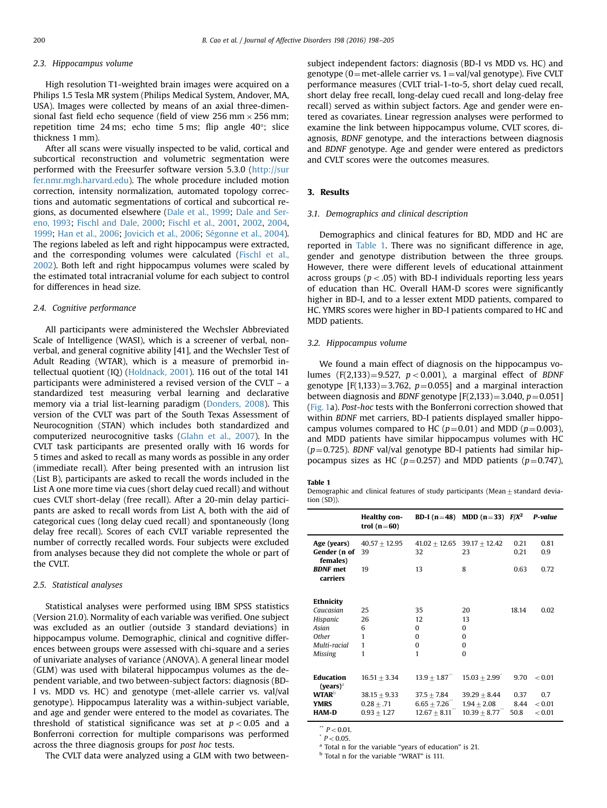### 2.3. Hippocampus volume

High resolution T1-weighted brain images were acquired on a Philips 1.5 Tesla MR system (Philips Medical System, Andover, MA, USA). Images were collected by means of an axial three-dimensional fast field echo sequence (field of view  $256 \text{ mm} \times 256 \text{ mm}$ ; repetition time 24 ms; echo time 5 ms; flip angle 40°; slice thickness 1 mm).

After all scans were visually inspected to be valid, cortical and subcortical reconstruction and volumetric segmentation were performed with the Freesurfer software version 5.3.0 (http://sur fer.nmr.mgh.harvard.edu). The whole procedure included motion correction, intensity normalization, automated topology corrections and automatic segmentations of cortical and subcortical regions, as documented elsewhere (Dale et al., 1999; Dale and Sereno, 1993; Fischl and Dale, 2000; Fischl et al., 2001, 2002, 2004, 1999; Han et al., 2006; Jovicich et al., 2006; Ségonne et al., 2004). The regions labeled as left and right hippocampus were extracted, and the corresponding volumes were calculated (Fischl et al., 2002). Both left and right hippocampus volumes were scaled by the estimated total intracranial volume for each subject to control for differences in head size.

### 2.4. Cognitive performance

All participants were administered the Wechsler Abbreviated Scale of Intelligence (WASI), which is a screener of verbal, nonverbal, and general cognitive ability [41], and the Wechsler Test of Adult Reading (WTAR), which is a measure of premorbid intellectual quotient (IQ) (Holdnack, 2001). 116 out of the total 141 participants were administered a revised version of the CVLT – a standardized test measuring verbal learning and declarative memory via a trial list-learning paradigm (Donders, 2008). This version of the CVLT was part of the South Texas Assessment of Neurocognition (STAN) which includes both standardized and computerized neurocognitive tasks (Glahn et al., 2007). In the CVLT task participants are presented orally with 16 words for 5 times and asked to recall as many words as possible in any order (immediate recall). After being presented with an intrusion list (List B), participants are asked to recall the words included in the List A one more time via cues (short delay cued recall) and without cues CVLT short-delay (free recall). After a 20-min delay participants are asked to recall words from List A, both with the aid of categorical cues (long delay cued recall) and spontaneously (long delay free recall). Scores of each CVLT variable represented the number of correctly recalled words. Four subjects were excluded from analyses because they did not complete the whole or part of the CVLT.

### 2.5. Statistical analyses

Statistical analyses were performed using IBM SPSS statistics (Version 21.0). Normality of each variable was verified. One subject was excluded as an outlier (outside 3 standard deviations) in hippocampus volume. Demographic, clinical and cognitive differences between groups were assessed with chi-square and a series of univariate analyses of variance (ANOVA). A general linear model (GLM) was used with bilateral hippocampus volumes as the dependent variable, and two between-subject factors: diagnosis (BD-I vs. MDD vs. HC) and genotype (met-allele carrier vs. val/val genotype). Hippocampus laterality was a within-subject variable, and age and gender were entered to the model as covariates. The threshold of statistical significance was set at  $p < 0.05$  and a Bonferroni correction for multiple comparisons was performed across the three diagnosis groups for post hoc tests.

The CVLT data were analyzed using a GLM with two between-

subject independent factors: diagnosis (BD-I vs MDD vs. HC) and genotype (0 = met-allele carrier vs.  $1 =$ val/val genotype). Five CVLT performance measures (CVLT trial-1-to-5, short delay cued recall, short delay free recall, long-delay cued recall and long-delay free recall) served as within subject factors. Age and gender were entered as covariates. Linear regression analyses were performed to examine the link between hippocampus volume, CVLT scores, diagnosis, BDNF genotype, and the interactions between diagnosis and BDNF genotype. Age and gender were entered as predictors and CVLT scores were the outcomes measures.

#### 3. Results

### 3.1. Demographics and clinical description

Demographics and clinical features for BD, MDD and HC are reported in Table 1. There was no significant difference in age, gender and genotype distribution between the three groups. However, there were different levels of educational attainment across groups ( $p < .05$ ) with BD-I individuals reporting less years of education than HC. Overall HAM-D scores were significantly higher in BD-I, and to a lesser extent MDD patients, compared to HC. YMRS scores were higher in BD-I patients compared to HC and MDD patients.

# 3.2. Hippocampus volume

We found a main effect of diagnosis on the hippocampus volumes  $(F(2,133) = 9.527, p < 0.001)$ , a marginal effect of BDNF genotype  $[F(1,133) = 3.762, p = 0.055]$  and a marginal interaction between diagnosis and BDNF genotype  $[F(2,133)]=3.040, p=0.051]$ (Fig. 1a). Post-hoc tests with the Bonferroni correction showed that within BDNF met carriers, BD-I patients displayed smaller hippocampus volumes compared to HC ( $p=0.01$ ) and MDD ( $p=0.003$ ), and MDD patients have similar hippocampus volumes with HC  $(p=0.725)$ . BDNF val/val genotype BD-I patients had similar hippocampus sizes as HC ( $p=0.257$ ) and MDD patients ( $p=0.747$ ),

### Table 1

Demographic and clinical features of study participants (Mean  $+$  standard deviation (SD)).

|                                                                                        | <b>Healthy con-</b><br>trol $(n=60)$                              | BD-I (n=48)                                                         | $MDD (n=33)$                                                        | $F/X^2$                      | P-value                           |
|----------------------------------------------------------------------------------------|-------------------------------------------------------------------|---------------------------------------------------------------------|---------------------------------------------------------------------|------------------------------|-----------------------------------|
| Age (years)<br>Gender (n of<br>females)                                                | $40.57 + 12.95$<br>39                                             | $41.02 + 12.65$<br>32                                               | $39.17 + 12.42$<br>23                                               | 0.21<br>0.21                 | 0.81<br>0.9                       |
| <b>BDNF</b> met<br>carriers                                                            | 19                                                                | 13                                                                  | 8                                                                   | 0.63                         | 0.72                              |
| Ethnicity<br>Caucasian<br>Hispanic<br>Asian<br><b>Other</b><br>Multi-racial<br>Missing | 25<br>26<br>6<br>1<br>1<br>1                                      | 35<br>12<br>0<br>$\Omega$<br>0<br>1                                 | 20<br>13<br>0<br>$\Omega$<br>$\Omega$<br>$\Omega$                   | 18.14                        | 0.02                              |
| Education<br>$(years)^a$<br><b>WTAR</b> <sup>b</sup><br><b>YMRS</b><br><b>HAM-D</b>    | $16.51 + 3.34$<br>$38.15 + 9.33$<br>$0.28 + .71$<br>$0.93 + 1.27$ | $13.9 \pm 1.87$<br>$37.5 + 7.84$<br>$6.65 + 7.26$<br>$12.67 + 8.11$ | $15.03 + 2.99$<br>$39.29 + 8.44$<br>$1.94 + 2.08$<br>$10.39 + 8.77$ | 9.70<br>0.37<br>8.44<br>50.8 | < 0.01<br>0.7<br>< 0.01<br>< 0.01 |

 $p < 0.01$ .

 $P < 0.05$ .

<sup>a</sup> Total n for the variable "years of education" is 21.

<sup>b</sup> Total n for the variable "WRAT" is 111.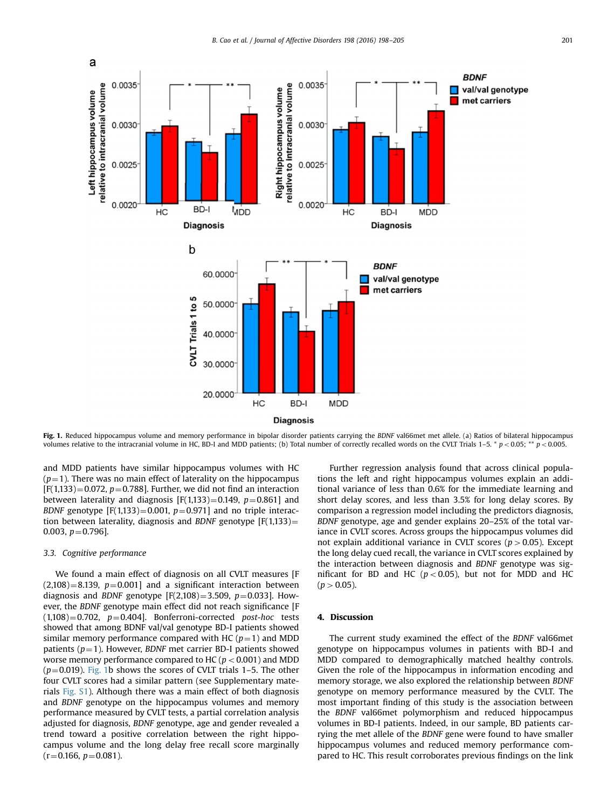

Fig. 1. Reduced hippocampus volume and memory performance in bipolar disorder patients carrying the BDNF val66met met allele. (a) Ratios of bilateral hippocampus volumes relative to the intracranial volume in HC, BD-I and MDD patients; (b) Total number of correctly recalled words on the CVLT Trials 1–5. \*  $p < 0.05$ ; \*\*  $p < 0.005$ .

and MDD patients have similar hippocampus volumes with HC  $(p=1)$ . There was no main effect of laterality on the hippocampus  $[F(1,133) = 0.072, p = 0.788]$ . Further, we did not find an interaction between laterality and diagnosis  $[F(1,133)=0.149, p=0.861]$  and BDNF genotype  $[F(1,133) = 0.001, p = 0.971]$  and no triple interaction between laterality, diagnosis and BDNF genotype  $[F(1,133)]=$ 0.003,  $p=0.796$ ].

# 3.3. Cognitive performance

We found a main effect of diagnosis on all CVLT measures [F  $(2,108) = 8.139$ ,  $p = 0.001$ ] and a significant interaction between diagnosis and BDNF genotype [F(2,108)=3.509,  $p=0.033$ ]. However, the BDNF genotype main effect did not reach significance [F  $(1,108) = 0.702$ ,  $p = 0.404$ ]. Bonferroni-corrected post-hoc tests showed that among BDNF val/val genotype BD-I patients showed similar memory performance compared with HC ( $p=1$ ) and MDD patients ( $p=1$ ). However, BDNF met carrier BD-I patients showed worse memory performance compared to HC ( $p < 0.001$ ) and MDD  $(p=0.019)$ . Fig. 1b shows the scores of CVLT trials 1–5. The other four CVLT scores had a similar pattern (see Supplementary materials Fig. S1). Although there was a main effect of both diagnosis and BDNF genotype on the hippocampus volumes and memory performance measured by CVLT tests, a partial correlation analysis adjusted for diagnosis, BDNF genotype, age and gender revealed a trend toward a positive correlation between the right hippocampus volume and the long delay free recall score marginally  $(r=0.166, p=0.081).$ 

Further regression analysis found that across clinical populations the left and right hippocampus volumes explain an additional variance of less than 0.6% for the immediate learning and short delay scores, and less than 3.5% for long delay scores. By comparison a regression model including the predictors diagnosis, BDNF genotype, age and gender explains 20–25% of the total variance in CVLT scores. Across groups the hippocampus volumes did not explain additional variance in CVLT scores ( $p > 0.05$ ). Except the long delay cued recall, the variance in CVLT scores explained by the interaction between diagnosis and BDNF genotype was significant for BD and HC ( $p < 0.05$ ), but not for MDD and HC  $(p > 0.05)$ .

# 4. Discussion

The current study examined the effect of the BDNF val66met genotype on hippocampus volumes in patients with BD-I and MDD compared to demographically matched healthy controls. Given the role of the hippocampus in information encoding and memory storage, we also explored the relationship between BDNF genotype on memory performance measured by the CVLT. The most important finding of this study is the association between the BDNF val66met polymorphism and reduced hippocampus volumes in BD-I patients. Indeed, in our sample, BD patients carrying the met allele of the BDNF gene were found to have smaller hippocampus volumes and reduced memory performance compared to HC. This result corroborates previous findings on the link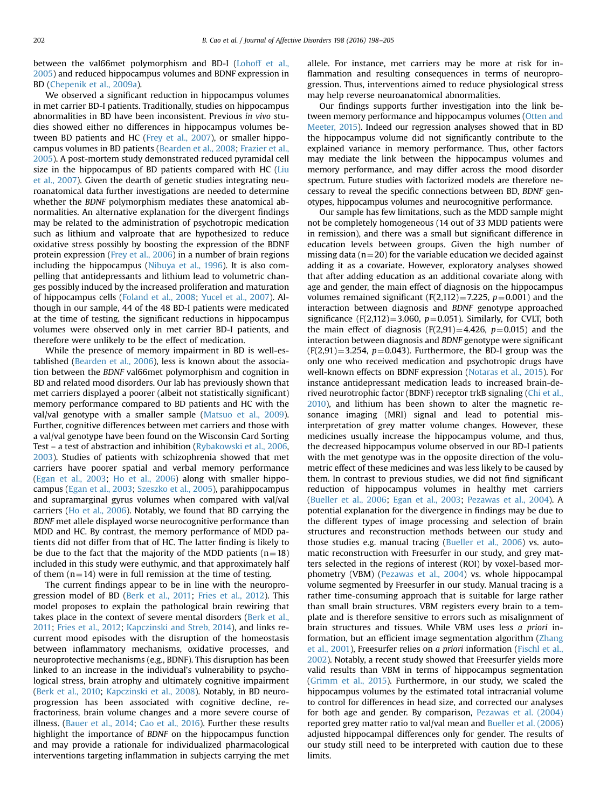between the val66met polymorphism and BD-I (Lohoff et al., 2005) and reduced hippocampus volumes and BDNF expression in BD (Chepenik et al., 2009a).

We observed a significant reduction in hippocampus volumes in met carrier BD-I patients. Traditionally, studies on hippocampus abnormalities in BD have been inconsistent. Previous in vivo studies showed either no differences in hippocampus volumes between BD patients and HC (Frey et al., 2007), or smaller hippocampus volumes in BD patients (Bearden et al., 2008; Frazier et al., 2005). A post-mortem study demonstrated reduced pyramidal cell size in the hippocampus of BD patients compared with HC (Liu et al., 2007). Given the dearth of genetic studies integrating neuroanatomical data further investigations are needed to determine whether the BDNF polymorphism mediates these anatomical abnormalities. An alternative explanation for the divergent findings may be related to the administration of psychotropic medication such as lithium and valproate that are hypothesized to reduce oxidative stress possibly by boosting the expression of the BDNF protein expression (Frey et al., 2006) in a number of brain regions including the hippocampus (Nibuya et al., 1996). It is also compelling that antidepressants and lithium lead to volumetric changes possibly induced by the increased proliferation and maturation of hippocampus cells (Foland et al., 2008; Yucel et al., 2007). Although in our sample, 44 of the 48 BD-I patients were medicated at the time of testing, the significant reductions in hippocampus volumes were observed only in met carrier BD-I patients, and therefore were unlikely to be the effect of medication.

While the presence of memory impairment in BD is well-established (Bearden et al., 2006), less is known about the association between the BDNF val66met polymorphism and cognition in BD and related mood disorders. Our lab has previously shown that met carriers displayed a poorer (albeit not statistically significant) memory performance compared to BD patients and HC with the val/val genotype with a smaller sample (Matsuo et al., 2009). Further, cognitive differences between met carriers and those with a val/val genotype have been found on the Wisconsin Card Sorting Test – a test of abstraction and inhibition (Rybakowski et al., 2006, 2003). Studies of patients with schizophrenia showed that met carriers have poorer spatial and verbal memory performance (Egan et al., 2003; Ho et al., 2006) along with smaller hippocampus (Egan et al., 2003; Szeszko et al., 2005), parahippocampus and supramarginal gyrus volumes when compared with val/val carriers (Ho et al., 2006). Notably, we found that BD carrying the BDNF met allele displayed worse neurocognitive performance than MDD and HC. By contrast, the memory performance of MDD patients did not differ from that of HC. The latter finding is likely to be due to the fact that the majority of the MDD patients  $(n=18)$ included in this study were euthymic, and that approximately half of them  $(n=14)$  were in full remission at the time of testing.

The current findings appear to be in line with the neuroprogression model of BD (Berk et al., 2011; Fries et al., 2012). This model proposes to explain the pathological brain rewiring that takes place in the context of severe mental disorders (Berk et al., 2011; Fries et al., 2012; Kapczinski and Streb, 2014), and links recurrent mood episodes with the disruption of the homeostasis between inflammatory mechanisms, oxidative processes, and neuroprotective mechanisms (e.g., BDNF). This disruption has been linked to an increase in the individual's vulnerability to psychological stress, brain atrophy and ultimately cognitive impairment (Berk et al., 2010; Kapczinski et al., 2008). Notably, in BD neuroprogression has been associated with cognitive decline, refractoriness, brain volume changes and a more severe course of illness. (Bauer et al., 2014; Cao et al., 2016). Further these results highlight the importance of BDNF on the hippocampus function and may provide a rationale for individualized pharmacological interventions targeting inflammation in subjects carrying the met allele. For instance, met carriers may be more at risk for inflammation and resulting consequences in terms of neuroprogression. Thus, interventions aimed to reduce physiological stress may help reverse neuroanatomical abnormalities.

Our findings supports further investigation into the link between memory performance and hippocampus volumes (Otten and Meeter, 2015). Indeed our regression analyses showed that in BD the hippocampus volume did not significantly contribute to the explained variance in memory performance. Thus, other factors may mediate the link between the hippocampus volumes and memory performance, and may differ across the mood disorder spectrum. Future studies with factorized models are therefore necessary to reveal the specific connections between BD, BDNF genotypes, hippocampus volumes and neurocognitive performance.

Our sample has few limitations, such as the MDD sample might not be completely homogeneous (14 out of 33 MDD patients were in remission), and there was a small but significant difference in education levels between groups. Given the high number of missing data ( $n=20$ ) for the variable education we decided against adding it as a covariate. However, exploratory analyses showed that after adding education as an additional covariate along with age and gender, the main effect of diagnosis on the hippocampus volumes remained significant (F(2,112)=7.225,  $p=0.001$ ) and the interaction between diagnosis and BDNF genotype approached significance (F(2,112)=3.060,  $p=0.051$ ). Similarly, for CVLT, both the main effect of diagnosis  $(F(2,91)=4.426, p=0.015)$  and the interaction between diagnosis and BDNF genotype were significant  $(F(2,91)=3.254, p=0.043)$ . Furthermore, the BD-I group was the only one who received medication and psychotropic drugs have well-known effects on BDNF expression (Notaras et al., 2015). For instance antidepressant medication leads to increased brain-derived neurotrophic factor (BDNF) receptor trkB signaling (Chi et al., 2010), and lithium has been shown to alter the magnetic resonance imaging (MRI) signal and lead to potential misinterpretation of grey matter volume changes. However, these medicines usually increase the hippocampus volume, and thus, the decreased hippocampus volume observed in our BD-I patients with the met genotype was in the opposite direction of the volumetric effect of these medicines and was less likely to be caused by them. In contrast to previous studies, we did not find significant reduction of hippocampus volumes in healthy met carriers (Bueller et al., 2006; Egan et al., 2003; Pezawas et al., 2004). A potential explanation for the divergence in findings may be due to the different types of image processing and selection of brain structures and reconstruction methods between our study and those studies e.g. manual tracing (Bueller et al., 2006) vs. automatic reconstruction with Freesurfer in our study, and grey matters selected in the regions of interest (ROI) by voxel-based morphometry (VBM) (Pezawas et al., 2004) vs. whole hippocampal volume segmented by Freesurfer in our study. Manual tracing is a rather time-consuming approach that is suitable for large rather than small brain structures. VBM registers every brain to a template and is therefore sensitive to errors such as misalignment of brain structures and tissues. While VBM uses less a priori information, but an efficient image segmentation algorithm (Zhang et al., 2001), Freesurfer relies on a priori information (Fischl et al., 2002). Notably, a recent study showed that Freesurfer yields more valid results than VBM in terms of hippocampus segmentation (Grimm et al., 2015). Furthermore, in our study, we scaled the hippocampus volumes by the estimated total intracranial volume to control for differences in head size, and corrected our analyses for both age and gender. By comparison, Pezawas et al. (2004) reported grey matter ratio to val/val mean and Bueller et al. (2006) adjusted hippocampal differences only for gender. The results of our study still need to be interpreted with caution due to these limits.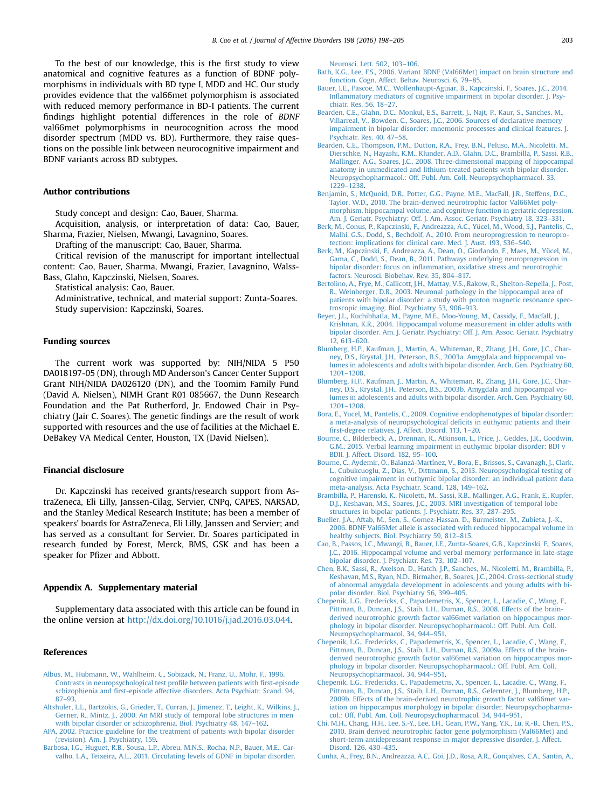To the best of our knowledge, this is the first study to view anatomical and cognitive features as a function of BDNF polymorphisms in individuals with BD type I, MDD and HC. Our study provides evidence that the val66met polymorphism is associated with reduced memory performance in BD-I patients. The current findings highlight potential differences in the role of BDNF val66met polymorphisms in neurocognition across the mood disorder spectrum (MDD vs. BD). Furthermore, they raise questions on the possible link between neurocognitive impairment and BDNF variants across BD subtypes.

### Author contributions

Study concept and design: Cao, Bauer, Sharma.

Acquisition, analysis, or interpretation of data: Cao, Bauer, Sharma, Frazier, Nielsen, Mwangi, Lavagnino, Soares.

Drafting of the manuscript: Cao, Bauer, Sharma.

Critical revision of the manuscript for important intellectual content: Cao, Bauer, Sharma, Mwangi, Frazier, Lavagnino, Walss-Bass, Glahn, Kapczinski, Nielsen, Soares.

Statistical analysis: Cao, Bauer.

Administrative, technical, and material support: Zunta-Soares. Study supervision: Kapczinski, Soares.

## Funding sources

The current work was supported by: NIH/NIDA 5 P50 DA018197-05 (DN), through MD Anderson's Cancer Center Support Grant NIH/NIDA DA026120 (DN), and the Toomim Family Fund (David A. Nielsen), NIMH Grant R01 085667, the Dunn Research Foundation and the Pat Rutherford, Jr. Endowed Chair in Psychiatry (Jair C. Soares). The genetic findings are the result of work supported with resources and the use of facilities at the Michael E. DeBakey VA Medical Center, Houston, TX (David Nielsen).

### Financial disclosure

Dr. Kapczinski has received grants/research support from AstraZeneca, Eli Lilly, Janssen-Cilag, Servier, CNPq, CAPES, NARSAD, and the Stanley Medical Research Institute; has been a member of speakers' boards for AstraZeneca, Eli Lilly, Janssen and Servier; and has served as a consultant for Servier. Dr. Soares participated in research funded by Forest, Merck, BMS, GSK and has been a speaker for Pfizer and Abbott.

#### Appendix A. Supplementary material

Supplementary data associated with this article can be found in the online version at http://dx.doi.org/10.1016/j.jad.2016.03.044.

#### References

- Albus, M., Hubmann, W., Wahlheim, C., Sobizack, N., Franz, U., Mohr, F., 1996. Contrasts in neuropsychological test profile between patients with first‐episode schizophienia and first-episode affective disorders. Acta Psychiatr. Scand. 94, 87–93.
- Altshuler, L.L., Bartzokis, G., Grieder, T., Curran, J., Jimenez, T., Leight, K., Wilkins, J., Gerner, R., Mintz, J., 2000. An MRI study of temporal lobe structures in men with bipolar disorder or schizophrenia. Biol. Psychiatry 48, 147–162.
- APA, 2002. Practice guideline for the treatment of patients with bipolar disorder (revision). Am. J. Psychiatry, 159.
- Barbosa, I.G., Huguet, R.B., Sousa, L.P., Abreu, M.N.S., Rocha, N.P., Bauer, M.E., Carvalho, L.A., Teixeira, A.L., 2011. Circulating levels of GDNF in bipolar disorder.

Neurosci. Lett. 502, 103–106.

- Bath, K.G., Lee, F.S., 2006. Variant BDNF (Val66Met) impact on brain structure and function. Cogn. Affect. Behav. Neurosci. 6, 79–85.
- Bauer, I.E., Pascoe, M.C., Wollenhaupt-Aguiar, B., Kapczinski, F., Soares, J.C., 2014. Inflammatory mediators of cognitive impairment in bipolar disorder. J. Psychiatr. Res. 56, 18–27.
- Bearden, C.E., Glahn, D.C., Monkul, E.S., Barrett, J., Najt, P., Kaur, S., Sanches, M., Villarreal, V., Bowden, C., Soares, J.C., 2006. Sources of declarative memory impairment in bipolar disorder: mnemonic processes and clinical features. J. Psychiatr. Res. 40, 47–58.
- Bearden, C.E., Thompson, P.M., Dutton, R.A., Frey, B.N., Peluso, M.A., Nicoletti, M., Dierschke, N., Hayashi, K.M., Klunder, A.D., Glahn, D.C., Brambilla, P., Sassi, R.B., Mallinger, A.G., Soares, J.C., 2008. Three-dimensional mapping of hippocampal anatomy in unmedicated and lithium-treated patients with bipolar disorder. Neuropsychopharmacol.: Off. Publ. Am. Coll. Neuropsychopharmacol. 33, 1229–1238.
- Benjamin, S., McQuoid, D.R., Potter, G.G., Payne, M.E., MacFall, J.R., Steffens, D.C., Taylor, W.D., 2010. The brain-derived neurotrophic factor Val66Met polymorphism, hippocampal volume, and cognitive function in geriatric depression. Am. J. Geriatr. Psychiatry: Off. J. Am. Assoc. Geriatr. Psychiatry 18, 323–331.
- Berk, M., Conus, P., Kapczinski, F., Andreazza, A.C., Yücel, M., Wood, S.J., Pantelis, C., Malhi, G.S., Dodd, S., Bechdolf, A., 2010. From neuroprogression to neuroprotection: implications for clinical care. Med. J. Aust. 193, S36–S40.
- Berk, M., Kapczinski, F., Andreazza, A., Dean, O., Giorlando, F., Maes, M., Yücel, M., Gama, C., Dodd, S., Dean, B., 2011. Pathways underlying neuroprogression in bipolar disorder: focus on inflammation, oxidative stress and neurotrophic factors. Neurosci. Biobehav. Rev. 35, 804–817.
- Bertolino, A., Frye, M., Callicott, J.H., Mattay, V.S., Rakow, R., Shelton-Repella, J., Post, R., Weinberger, D.R., 2003. Neuronal pathology in the hippocampal area of patients with bipolar disorder: a study with proton magnetic resonance spectroscopic imaging. Biol. Psychiatry 53, 906–913.
- Beyer, J.L., Kuchibhatla, M., Payne, M.E., Moo-Young, M., Cassidy, F., Macfall, J., Krishnan, K.R., 2004. Hippocampal volume measurement in older adults with bipolar disorder. Am. J. Geriatr. Psychiatry: Off. J. Am. Assoc. Geriatr. Psychiatry 12, 613–620.
- Blumberg, H.P., Kaufman, J., Martin, A., Whiteman, R., Zhang, J.H., Gore, J.C., Charney, D.S., Krystal, J.H., Peterson, B.S., 2003a. Amygdala and hippocampal volumes in adolescents and adults with bipolar disorder. Arch. Gen. Psychiatry 60, 1201–1208.
- Blumberg, H.P., Kaufman, J., Martin, A., Whiteman, R., Zhang, J.H., Gore, J.C., Charney, D.S., Krystal, J.H., Peterson, B.S., 2003b. Amygdala and hippocampal volumes in adolescents and adults with bipolar disorder. Arch. Gen. Psychiatry 60, 1201–1208.
- Bora, E., Yucel, M., Pantelis, C., 2009. Cognitive endophenotypes of bipolar disorder: a meta-analysis of neuropsychological deficits in euthymic patients and their first-degree relatives. J. Affect. Disord. 113, 1–20.
- Bourne, C., Bilderbeck, A., Drennan, R., Atkinson, L., Price, J., Geddes, J.R., Goodwin, G.M., 2015. Verbal learning impairment in euthymic bipolar disorder: BDI v BDII. J. Affect. Disord. 182, 95–100.
- Bourne, C., Aydemir, Ö., Balanzá‐Martínez, V., Bora, E., Brissos, S., Cavanagh, J., Clark, L., Cubukcuoglu, Z., Dias, V., Dittmann, S., 2013. Neuropsychological testing of cognitive impairment in euthymic bipolar disorder: an individual patient data meta‐analysis. Acta Psychiatr. Scand. 128, 149–162.
- Brambilla, P., Harenski, K., Nicoletti, M., Sassi, R.B., Mallinger, A.G., Frank, E., Kupfer, D.J., Keshavan, M.S., Soares, J.C., 2003. MRI investigation of temporal lobe structures in bipolar patients. J. Psychiatr. Res. 37, 287–295.
- Bueller, J.A., Aftab, M., Sen, S., Gomez-Hassan, D., Burmeister, M., Zubieta, J.-K., 2006. BDNF Val66Met allele is associated with reduced hippocampal volume in healthy subjects. Biol. Psychiatry 59, 812–815.
- Cao, B., Passos, I.C., Mwangi, B., Bauer, I.E., Zunta-Soares, G.B., Kapczinski, F., Soares, J.C., 2016. Hippocampal volume and verbal memory performance in late-stage bipolar disorder. J. Psychiatr. Res. 73, 102–107.
- Chen, B.K., Sassi, R., Axelson, D., Hatch, J.P., Sanches, M., Nicoletti, M., Brambilla, P., Keshavan, M.S., Ryan, N.D., Birmaher, B., Soares, J.C., 2004. Cross-sectional study of abnormal amygdala development in adolescents and young adults with bipolar disorder. Biol. Psychiatry 56, 399–405.
- Chepenik, L.G., Fredericks, C., Papademetris, X., Spencer, L., Lacadie, C., Wang, F., Pittman, B., Duncan, J.S., Staib, L.H., Duman, R.S., 2008. Effects of the brainderived neurotrophic growth factor val66met variation on hippocampus morphology in bipolar disorder. Neuropsychopharmacol.: Off. Publ. Am. Coll. Neuropsychopharmacol. 34, 944–951.
- Chepenik, L.G., Fredericks, C., Papademetris, X., Spencer, L., Lacadie, C., Wang, F., Pittman, B., Duncan, J.S., Staib, L.H., Duman, R.S., 2009a. Effects of the brainderived neurotrophic growth factor val66met variation on hippocampus morphology in bipolar disorder. Neuropsychopharmacol.: Off. Publ. Am. Coll. Neuropsychopharmacol. 34, 944–951.
- Chepenik, L.G., Fredericks, C., Papademetris, X., Spencer, L., Lacadie, C., Wang, F., Pittman, B., Duncan, J.S., Staib, L.H., Duman, R.S., Gelernter, J., Blumberg, H.P., 2009b. Effects of the brain-derived neurotrophic growth factor val66met variation on hippocampus morphology in bipolar disorder. Neuropsychopharmacol.: Off. Publ. Am. Coll. Neuropsychopharmacol. 34, 944–951.
- Chi, M.H., Chang, H.H., Lee, S.-Y., Lee, I.H., Gean, P.W., Yang, Y.K., Lu, R.-B., Chen, P.S., 2010. Brain derived neurotrophic factor gene polymorphism (Val66Met) and short-term antidepressant response in major depressive disorder. J. Affect. Disord. 126, 430–435.
- Cunha, A., Frey, B.N., Andreazza, A.C., Goi, J.D., Rosa, A.R., Gonçalves, C.A., Santin, A.,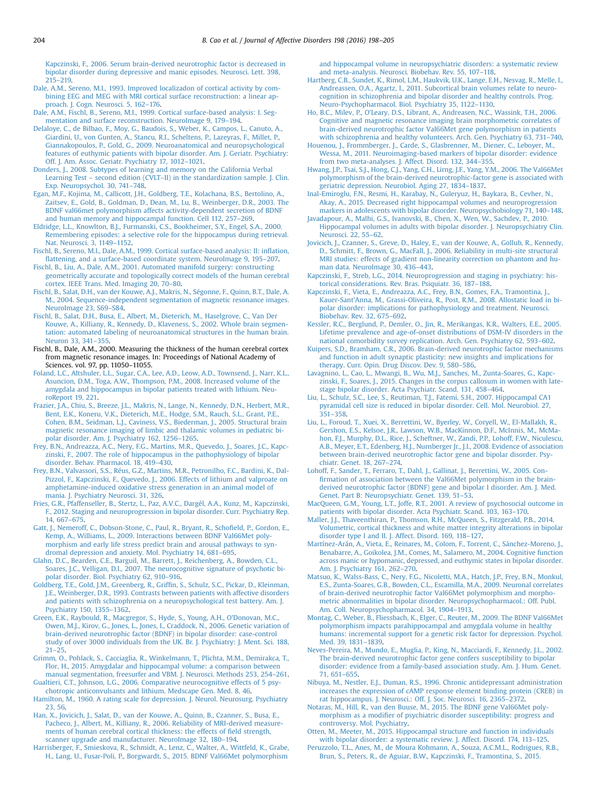Kapczinski, F., 2006. Serum brain-derived neurotrophic factor is decreased in bipolar disorder during depressive and manic episodes. Neurosci. Lett. 398, 215–219.

Dale, A.M., Sereno, M.I., 1993. Improved localizadon of cortical activity by combining EEG and MEG with MRI cortical surface reconstruction: a linear approach. J. Cogn. Neurosci. 5, 162–176.

Dale, A.M., Fischl, B., Sereno, M.I., 1999. Cortical surface-based analysis: I. Segmentation and surface reconstruction. NeuroImage 9, 179–194.

Delaloye, C., de Bilbao, F., Moy, G., Baudois, S., Weber, K., Campos, L., Canuto, A., Giardini, U., von Gunten, A., Stancu, R.I., Scheltens, P., Lazeyras, F., Millet, P., Giannakopoulos, P., Gold, G., 2009. Neuroanatomical and neuropsychological features of euthymic patients with bipolar disorder. Am. J. Geriatr. Psychiatry: Off. J. Am. Assoc. Geriatr. Psychiatry 17, 1012–1021.

Donders, J., 2008. Subtypes of learning and memory on the California Verbal Learning Test – second edition (CVLT–II) in the standardization sample. J. Clin. Exp. Neuropsychol. 30, 741–748.

Egan, M.F., Kojima, M., Callicott, J.H., Goldberg, T.E., Kolachana, B.S., Bertolino, A., Zaitsev, E., Gold, B., Goldman, D., Dean, M., Lu, B., Weinberger, D.R., 2003. The BDNF val66met polymorphism affects activity-dependent secretion of BDNF and human memory and hippocampal function. Cell 112, 257–269.

Eldridge, L.L., Knowlton, B.J., Furmanski, C.S., Bookheimer, S.Y., Engel, S.A., 2000. Remembering episodes: a selective role for the hippocampus during retrieval. Nat. Neurosci. 3, 1149–1152.

Fischl, B., Sereno, M.I., Dale, A.M., 1999. Cortical surface-based analysis: II: inflation, flattening, and a surface-based coordinate system. NeuroImage 9, 195-207.

Fischl, B., Liu, A., Dale, A.M., 2001. Automated manifold surgery: constructing geometrically accurate and topologically correct models of the human cerebral cortex. IEEE Trans. Med. Imaging 20, 70–80.

Fischl, B., Salat, D.H., van der Kouwe, A.J., Makris, N., Ségonne, F., Quinn, B.T., Dale, A. M., 2004. Sequence-independent segmentation of magnetic resonance images. NeuroImage 23, S69–S84.

Fischl, B., Salat, D.H., Busa, E., Albert, M., Dieterich, M., Haselgrove, C., Van Der Kouwe, A., Killiany, R., Kennedy, D., Klaveness, S., 2002. Whole brain segmentation: automated labeling of neuroanatomical structures in the human brain. Neuron 33, 341–355.

Fischl, B., Dale, A.M., 2000. Measuring the thickness of the human cerebral cortex from magnetic resonance images. In: Proceedings of National Academy of Sciences. vol. 97, pp. 11050–11055.

Foland, L.C., Altshuler, L.L., Sugar, C.A., Lee, A.D., Leow, A.D., Townsend, J., Narr, K.L., Asuncion, D.M., Toga, A.W., Thompson, P.M., 2008. Increased volume of the amygdala and hippocampus in bipolar patients treated with lithium. NeuroReport 19, 221.

Frazier, J.A., Chiu, S., Breeze, J.L., Makris, N., Lange, N., Kennedy, D.N., Herbert, M.R., Bent, E.K., Koneru, V.K., Dieterich, M.E., Hodge, S.M., Rauch, S.L., Grant, P.E., Cohen, B.M., Seidman, L.J., Caviness, V.S., Biederman, J., 2005. Structural brain magnetic resonance imaging of limbic and thalamic volumes in pediatric bipolar disorder. Am. J. Psychiatry 162, 1256–1265.

Frey, B.N., Andreazza, A.C., Nery, F.G., Martins, M.R., Quevedo, J., Soares, J.C., Kapczinski, F., 2007. The role of hippocampus in the pathophysiology of bipolar disorder. Behav. Pharmacol. 18, 419–430.

Frey, B.N., Valvassori, S.S., Réus, G.Z., Martins, M.R., Petronilho, F.C., Bardini, K., Dal-Pizzol, F., Kapczinski, F., Quevedo, J., 2006. Effects of lithium and valproate on amphetamine-induced oxidative stress generation in an animal model of mania. J. Psychiatry Neurosci. 31, 326.

Fries, G.R., Pfaffenseller, B., Stertz, L., Paz, A.V.C., Dargél, A.A., Kunz, M., Kapczinski, F., 2012. Staging and neuroprogression in bipolar disorder. Curr. Psychiatry Rep. 14, 667–675.

Gatt, J., Nemeroff, C., Dobson-Stone, C., Paul, R., Bryant, R., Schofield, P., Gordon, E., Kemp, A., Williams, L., 2009. Interactions between BDNF Val66Met polymorphism and early life stress predict brain and arousal pathways to syndromal depression and anxiety. Mol. Psychiatry 14, 681–695.

Glahn, D.C., Bearden, C.E., Barguil, M., Barrett, J., Reichenberg, A., Bowden, C.L., Soares, J.C., Velligan, D.I., 2007. The neurocognitive signature of psychotic bipolar disorder. Biol. Psychiatry 62, 910–916.

Goldberg, T.E., Gold, J.M., Greenberg, R., Griffin, S., Schulz, S.C., Pickar, D., Kleinman, J.E., Weinberger, D.R., 1993. Contrasts between patients with affective disorders and patients with schizophrenia on a neuropsychological test battery. Am. J. Psychiatry 150, 1355–1362.

Green, E.K., Raybould, R., Macgregor, S., Hyde, S., Young, A.H., O'Donovan, M.C., Owen, M.J., Kirov, G., Jones, L., Jones, I., Craddock, N., 2006. Genetic variation of brain-derived neurotrophic factor (BDNF) in bipolar disorder: case-control study of over 3000 individuals from the UK. Br. J. Psychiatry: J. Ment. Sci. 188, 21–25.

Grimm, O., Pohlack, S., Cacciaglia, R., Winkelmann, T., Plichta, M.M., Demirakca, T., Flor, H., 2015. Amygdalar and hippocampal volume: a comparison between manual segmentation, freesurfer and VBM. J. Neurosci. Methods 253, 254–261.

Gualtieri, C.T., Johnson, L.G., 2006. Comparative neurocognitive effects of 5 psychotropic anticonvulsants and lithium. Medscape Gen. Med. 8, 46.

Hamilton, M., 1960. A rating scale for depression. J. Neurol. Neurosurg. Psychiatry 23, 56.

Han, X., Jovicich, J., Salat, D., van der Kouwe, A., Quinn, B., Czanner, S., Busa, E., Pacheco, J., Albert, M., Killiany, R., 2006. Reliability of MRI-derived measurements of human cerebral cortical thickness: the effects of field strength, scanner upgrade and manufacturer. NeuroImage 32, 180–194.

Harrisberger, F., Smieskova, R., Schmidt, A., Lenz, C., Walter, A., Wittfeld, K., Grabe, H., Lang, U., Fusar-Poli, P., Borgwardt, S., 2015. BDNF Val66Met polymorphism

and hippocampal volume in neuropsychiatric disorders: a systematic review and meta-analysis. Neurosci. Biobehav. Rev. 55, 107–118.

Hartberg, C.B., Sundet, K., Rimol, L.M., Haukvik, U.K., Lange, E.H., Nesvag, R., Melle, I., Andreassen, O.A., Agartz, I., 2011. Subcortical brain volumes relate to neurocognition in schizophrenia and bipolar disorder and healthy controls. Prog. Neuro-Psychopharmacol. Biol. Psychiatry 35, 1122–1130.

Ho, B.C., Milev, P., O'Leary, D.S., Librant, A., Andreasen, N.C., Wassink, T.H., 2006. Cognitive and magnetic resonance imaging brain morphometric correlates of brain-derived neurotrophic factor Val66Met gene polymorphism in patients with schizophrenia and healthy volunteers. Arch. Gen. Psychiatry 63, 731–740.

Houenou, J., Frommberger, J., Carde, S., Glasbrenner, M., Diener, C., Leboyer, M., Wessa, M., 2011. Neuroimaging-based markers of bipolar disorder: evidence from two meta-analyses. J. Affect. Disord. 132, 344–355.

Hwang, J.P., Tsai, S.J., Hong, C.J., Yang, C.H., Lirng, J.F., Yang, Y.M., 2006. The Val66Met polymorphism of the brain-derived neurotrophic-factor gene is associated with geriatric depression. Neurobiol. Aging 27, 1834–1837.

Inal-Emiroglu, F.N., Resmi, H., Karabay, N., Guleryuz, H., Baykara, B., Cevher, N., Akay, A., 2015. Decreased right hippocampal volumes and neuroprogression markers in adolescents with bipolar disorder. Neuropsychobiology 71, 140–148.

Javadapour, A., Malhi, G.S., Ivanovski, B., Chen, X., Wen, W., Sachdev, P., 2010. Hippocampal volumes in adults with bipolar disorder. J. Neuropsychiatry Clin. Neurosci. 22, 55–62.

Jovicich, J., Czanner, S., Greve, D., Haley, E., van der Kouwe, A., Gollub, R., Kennedy, D., Schmitt, F., Brown, G., MacFall, J., 2006. Reliability in multi-site structural MRI studies: effects of gradient non-linearity correction on phantom and human data. NeuroImage 30, 436–443.

Kapczinski, F., Streb, L.G., 2014. Neuroprogression and staging in psychiatry: historical considerations. Rev. Bras. Psiquiatr. 36, 187–188.

Kapczinski, F., Vieta, E., Andreazza, A.C., Frey, B.N., Gomes, F.A., Tramontina, J., Kauer-Sant'Anna, M., Grassi-Oliveira, R., Post, R.M., 2008. Allostatic load in bipolar disorder: implications for pathophysiology and treatment. Neurosci. Biobehav. Rev. 32, 675–692.

Kessler, R.C., Berglund, P., Demler, O., Jin, R., Merikangas, K.R., Walters, E.E., 2005. Lifetime prevalence and age-of-onset distributions of DSM-IV disorders in the national comorbidity survey replication. Arch. Gen. Psychiatry 62, 593–602.

Kuipers, S.D., Bramham, C.R., 2006. Brain-derived neurotrophic factor mechanisms and function in adult synaptic plasticity: new insights and implications for therapy. Curr. Opin. Drug Discov. Dev. 9, 580–586.

Lavagnino, L., Cao, L., Mwangi, B., Wu, M.J., Sanches, M., Zunta‐Soares, G., Kapczinski, F., Soares, J., 2015. Changes in the corpus callosum in women with latestage bipolar disorder. Acta Psychiatr. Scand. 131, 458–464.

Liu, L., Schulz, S.C., Lee, S., Reutiman, T.J., Fatemi, S.H., 2007. Hippocampal CA1 pyramidal cell size is reduced in bipolar disorder. Cell. Mol. Neurobiol. 27, 351–358.

Liu, L., Foroud, T., Xuei, X., Berrettini, W., Byerley, W., Coryell, W., El-Mallakh, R., Gershon, E.S., Kelsoe, J.R., Lawson, W.B., MacKinnon, D.F., McInnis, M., McMahon, F.J., Murphy, D.L., Rice, J., Scheftner, W., Zandi, P.P., Lohoff, F.W., Niculescu, A.B., Meyer, E.T., Edenberg, H.J., Nurnberger Jr., J.I., 2008. Evidence of association between brain-derived neurotrophic factor gene and bipolar disorder. Psychiatr. Genet. 18, 267–274.

Lohoff, F., Sander, T., Ferraro, T., Dahl, J., Gallinat, J., Berrettini, W., 2005. Confirmation of association between the Val66Met polymorphism in the brain derived neurotrophic factor (BDNF) gene and bipolar I disorder. Am. J. Med. Genet. Part B: Neuropsychiatr. Genet. 139, 51–53.

MacQueen, G.M., Young, L.T., Joffe, R.T., 2001. A review of psychosocial outcome in patients with bipolar disorder. Acta Psychiatr. Scand. 103, 163–170.

Maller, J.J., Thaveenthiran, P., Thomson, R.H., McQueen, S., Fitzgerald, P.B., 2014. Volumetric, cortical thickness and white matter integrity alterations in bipolar disorder type I and II. J. Affect. Disord. 169, 118–127.

Martínez-Arán, A., Vieta, E., Reinares, M., Colom, F., Torrent, C., Sánchez-Moreno, J., Benabarre, A., Goikolea, J.M., Comes, M., Salamero, M., 2004. Cognitive function across manic or hypomanic, depressed, and euthymic states in bipolar disorder. Am. J. Psychiatry 161, 262–270.

Matsuo, K., Walss-Bass, C., Nery, F.G., Nicoletti, M.A., Hatch, J.P., Frey, B.N., Monkul, E.S., Zunta-Soares, G.B., Bowden, C.L., Escamilla, M.A., 2009. Neuronal correlates of brain-derived neurotrophic factor Val66Met polymorphism and morphometric abnormalities in bipolar disorder. Neuropsychopharmacol.: Off. Publ. Am. Coll. Neuropsychopharmacol. 34, 1904–1913.

Montag, C., Weber, B., Fliessbach, K., Elger, C., Reuter, M., 2009. The BDNF Val66Met polymorphism impacts parahippocampal and amygdala volume in healthy humans: incremental support for a genetic risk factor for depression. Psychol. Med. 39, 1831–1839.

Neves-Pereira, M., Mundo, E., Muglia, P., King, N., Macciardi, F., Kennedy, J.L., 2002. The brain-derived neurotrophic factor gene confers susceptibility to bipolar disorder: evidence from a family-based association study. Am. J. Hum. Genet. 71, 651–655.

Nibuya, M., Nestler, E.J., Duman, R.S., 1996. Chronic antidepressant administration increases the expression of cAMP response element binding protein (CREB) in rat hippocampus. J. Neurosci.: Off. J. Soc. Neurosci. 16, 2365–2372.

Notaras, M., Hill, R., van den Buuse, M., 2015. The BDNF gene Val66Met polymorphism as a modifier of psychiatric disorder susceptibility: progress and controversy. Mol. Psychiatry.

Otten, M., Meeter, M., 2015. Hippocampal structure and function in individuals

with bipolar disorder: a systematic review. J. Affect. Disord. 174, 113–125. Peruzzolo, T.L., Anes, M., de Moura Kohmann, A., Souza, A.C.M.L., Rodrigues, R.B., Brun, S., Peters, R., de Aguiar, B.W., Kapczinski, F., Tramontina, S., 2015.